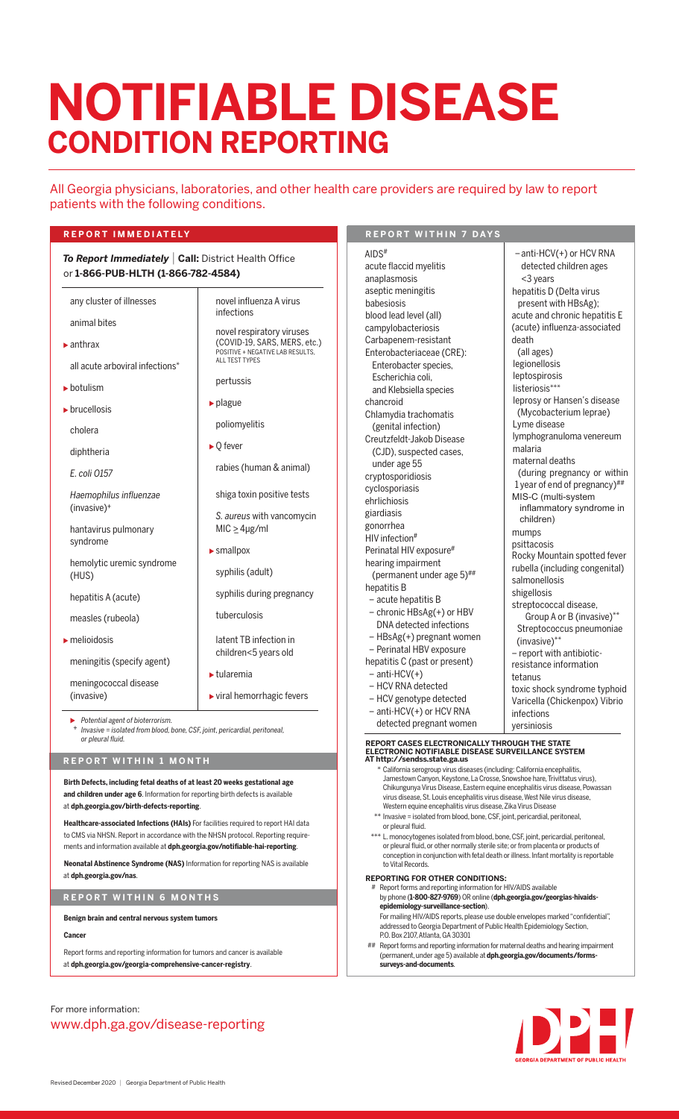# **CONDITION REPORTING NOTIFIABLE DISEASE**

novel influenza A virus

novel respiratory viruses (COVID-19, SARS, MERS, etc.) POSITIVE + NEGATIVE LAB RESULTS,

infections

pertussis

ALL TEST TYPES

poliomyelitis

 $MIC \geq 4 \mu g/ml$ 

syphilis (adult)

tuberculosis

tularemia

smallpox

rabies (human & animal)

shiga toxin positive tests *S. aureus* with vancomycin

syphilis during pregnancy

latent TB infection in children<5 years old

viral hemorrhagic fevers

 $\rho$  plague

 $\triangleright$  O fever

All Georgia physicians, laboratories, and other health care providers are required by law to report patients with the following conditions.

### **R E P O R T IMM E D I AT E LY R E P O R T WITHIN 7 D AY S**

*To Report Immediately* | **Call:** District Health Office or **1-866-PUB-HLTH (1-866-782-4584)**

any cluster of illnesses

animal bites

 anthrax all acute arboviral infections<sup>\*</sup>

botulism

**brucellosis** 

cholera

diphtheria

*E. coli O157*

*Haemophilus influenzae* (invasive)+

hantavirus pulmonary syndrome

hemolytic uremic syndrome (HUS)

hepatitis A (acute)

measles (rubeola)

melioidosis

meningitis (specify agent)

meningococcal disease

(invasive)

 *Potential agent of bioterrorism.* <sup>+</sup> *Invasive = isolated from blood, bone, CSF, joint, pericardial, peritoneal, or pleural fluid.*

#### **R E P O R T W I T H I N 1 M O N T H**

**Birth Defects, including fetal deaths of at least 20 weeks gestational age and children under age 6**. Information for reporting birth defects is available at **dph.georgia.gov/birth-defects-reporting**.

**Healthcare-associated Infections (HAIs)** For facilities required to report HAI data to CMS via NHSN. Report in accordance with the NHSN protocol. Reporting requirements and information available at **dph.georgia.gov/notifiable-hai-reporting**.

**Neonatal Abstinence Syndrome (NAS)** Information for reporting NAS is available at **dph.georgia.gov/nas**.

**R E P O R T W I T H IN 6 M O N T H S**

**Benign brain and central nervous system tumors**

**Cancer**

Report forms and reporting information for tumors and cancer is available at **dph.georgia.gov/georgia-comprehensive-cancer-registry**.

## For more information: www.dph.ga.gov/disease-reporting

– anti-HCV(+) or HCV RNA detected children ages

leprosy or Hansen's disease (Mycobacterium leprae)

lymphogranuloma venereum

 (during pregnancy or within 1 year of end of pregnancy)## MIS-C (multi-system

inflammatory syndrome in

Rocky Mountain spotted fever rubella (including congenital)

<3 years hepatitis D (Delta virus present with HBsAg); acute and chronic hepatitis E (acute) influenza-associated

Lyme disease

 children) mumps psittacosis

salmonellosis shigellosis

(invasive)\*\*

tetanus

infections yersiniosis

streptococcal disease, Group A or B (invasive) \*\* Streptococcus pneumoniae

– report with antibioticresistance information

toxic shock syndrome typhoid Varicella (Chickenpox) Vibrio

malaria maternal deaths

death (all ages) legionellosis leptospirosis listeriosis\*\*\*

AIDS# acute flaccid myelitis anaplasmosis aseptic meningitis babesiosis blood lead level (all) campylobacteriosis Carbapenem-resistant Enterobacteriaceae (CRE): Enterobacter species, Escherichia coli, and Klebsiella species chancroid Chlamydia trachomatis (genital infection) Creutzfeldt-Jakob Disease (CJD), suspected cases, under age 55 cryptosporidiosis cyclosporiasis ehrlichiosis giardiasis gonorrhea HIV infection# Perinatal HIV exposure<sup>#</sup> hearing impairment (permanent under age  $5)$ <sup>##</sup> hepatitis B – acute hepatitis B – chronic HBsAg(+) or HBV DNA detected infections – HBsAg(+) pregnant women – Perinatal HBV exposure hepatitis C (past or present) – anti-HCV(+) – HCV RNA detected

– HCV genotype detected

 – anti-HCV(+) or HCV RNA detected pregnant women

## **REPORT CASES ELECTRONICALLY THROUGH THE STATE ELECTRONIC NOTIFIABLE DISEASE SURVEILLANCE SYSTEM AT http://sendss.state.ga.us**

- \* California serogroup virus diseases (including: California encephalitis, Jamestown Canyon, Keystone, La Crosse, Snowshoe hare, Trivittatus virus), Chikungunya Virus Disease, Eastern equine encephalitis virus disease, Powassan virus disease, St. Louis encephalitis virus disease, West Nile virus disease, Western equine encephalitis virus disease, Zika Virus Disease
- \*\* Invasive = isolated from blood, bone, CSF, joint, pericardial, peritoneal, or pleural fluid.
- L. monocytogenes isolated from blood, bone, CSF, joint, pericardial, peritoneal, or pleural fluid, or other normally sterile site; or from placenta or products of conception in conjunction with fetal death or illness. Infant mortality is reportable to Vital Records.

#### **REPORTING FOR OTHER CONDITIONS:**

- Report forms and reporting information for HIV/AIDS available by phone (**1-800-827-9769**) OR online (**dph.georgia.gov/georgias-hivaids epidemiology-surveillance-section**). For mailing HIV/AIDS reports, please use double envelopes marked "confidential", addressed to Georgia Department of Public Health Epidemiology Section,
- P.O. Box 2107, Atlanta, GA 30301 **##** Report forms and reporting information for maternal deaths and hearing impairment<br>(oermanent, under age 5) available at **dph.georgia.gov/documents/forms** (permanent, under age 5) available at **dph.georgia.gov/documents/forms surveys-and-documents**.